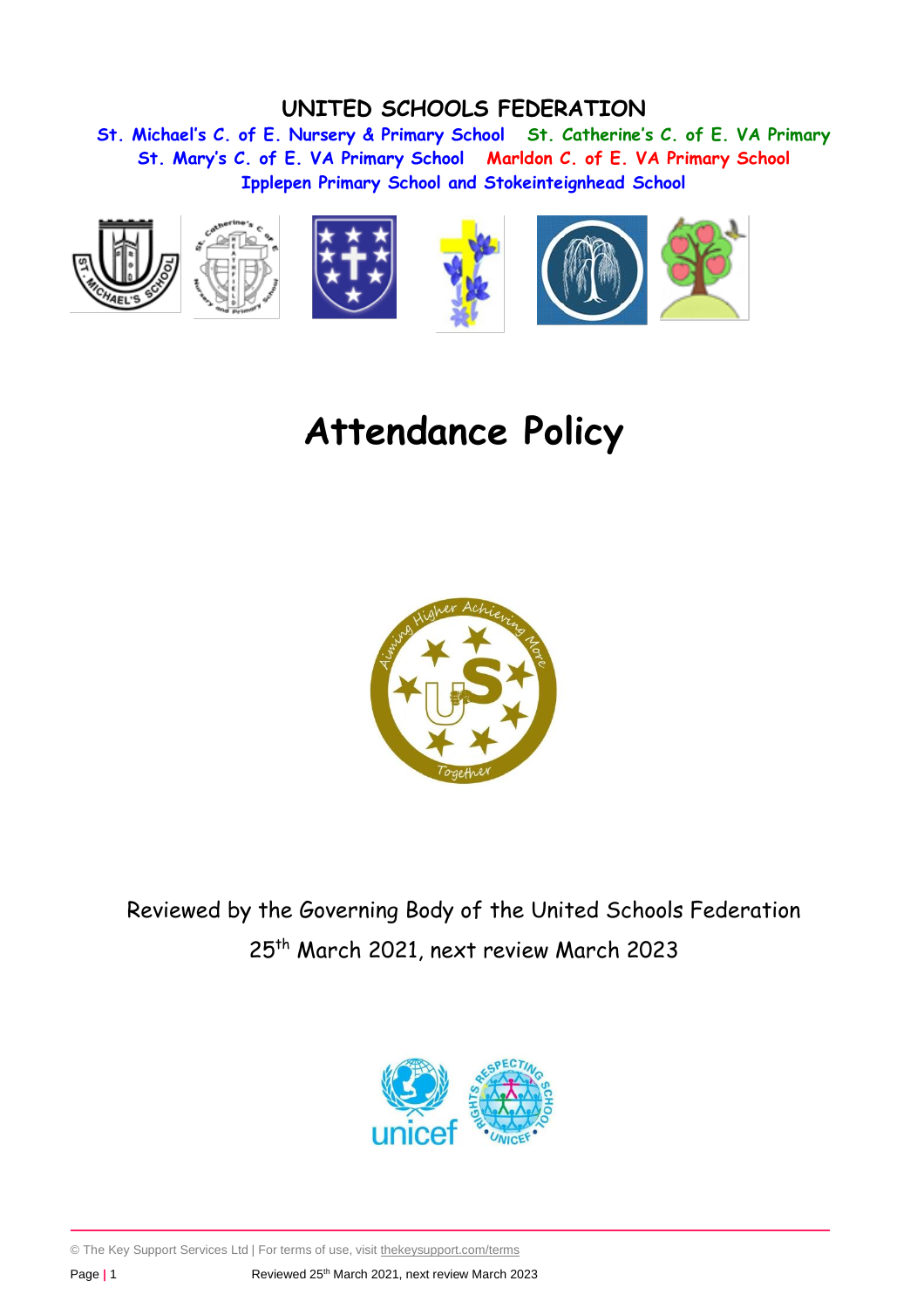# **UNITED SCHOOLS FEDERATION**

**St. Michael's C. of E. Nursery & Primary School St. Catherine's C. of E. VA Primary St. Mary's C. of E. VA Primary School Marldon C. of E. VA Primary School Ipplepen Primary School and Stokeinteignhead School**



# **Attendance Policy**



Reviewed by the Governing Body of the United Schools Federation 25th March 2021, next review March 2023



© The Key Support Services Ltd | For terms of use, visit [thekeysupport.com/terms](https://thekeysupport.com/terms-of-use)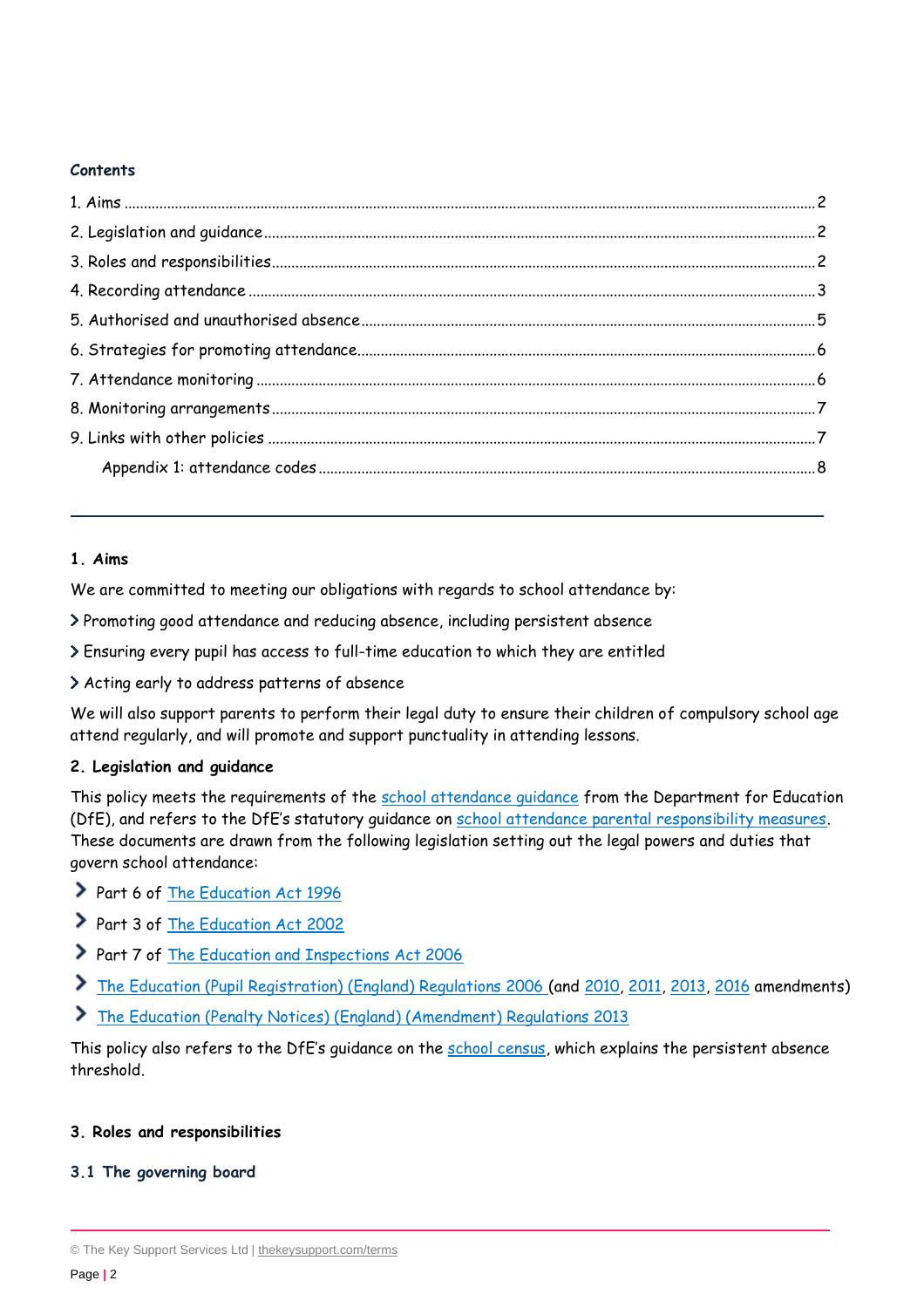## **Contents**

## <span id="page-1-0"></span>**1. Aims**

We are committed to meeting our obligations with regards to school attendance by:

Promoting good attendance and reducing absence, including persistent absence

- Ensuring every pupil has access to full-time education to which they are entitled
- Acting early to address patterns of absence

We will also support parents to perform their legal duty to ensure their children of compulsory school age attend regularly, and will promote and support punctuality in attending lessons.

# <span id="page-1-1"></span>**2. Legislation and guidance**

This policy meets the requirements of the school attendance quidance from the Department for Education (DfE), and refers to the DfE's statutory guidance on [school attendance parental responsibility measures.](https://www.gov.uk/government/publications/parental-responsibility-measures-for-behaviour-and-attendance) These documents are drawn from the following legislation setting out the legal powers and duties that govern school attendance:

- Part 6 of [The Education Act 1996](https://www.legislation.gov.uk/ukpga/1996/56/part/VI/chapter/II)
- Part 3 of [The Education Act 2002](http://www.legislation.gov.uk/ukpga/2002/32/part/3/chapter/3)
- Part 7 of [The Education and Inspections Act 2006](http://www.legislation.gov.uk/ukpga/2006/40/part/7/chapter/2/crossheading/school-attendance)
- [The Education \(Pupil Registration\) \(England\) Regulations 2006](http://www.legislation.gov.uk/uksi/2006/1751/contents/made) (and [2010,](https://www.legislation.gov.uk/uksi/2010/1725/regulation/2/made) [2011,](https://www.legislation.gov.uk/uksi/2011/1625/made) [2013,](https://www.legislation.gov.uk/uksi/2013/756/made) [2016](https://www.legislation.gov.uk/uksi/2016/792/made/data.html) amendments)
- [The Education \(Penalty Notices\) \(England\) \(Amendment\) Regulations 2013](https://www.legislation.gov.uk/uksi/2013/757/regulation/2/made)

This policy also refers to the DfE's guidance on the [school census,](https://www.gov.uk/guidance/complete-the-school-census) which explains the persistent absence threshold.

## <span id="page-1-2"></span>**3. Roles and responsibilities**

## **3.1 The governing board**

<sup>©</sup> The Key Support Services Ltd | [thekeysupport.com/terms](https://thekeysupport.com/terms-of-use)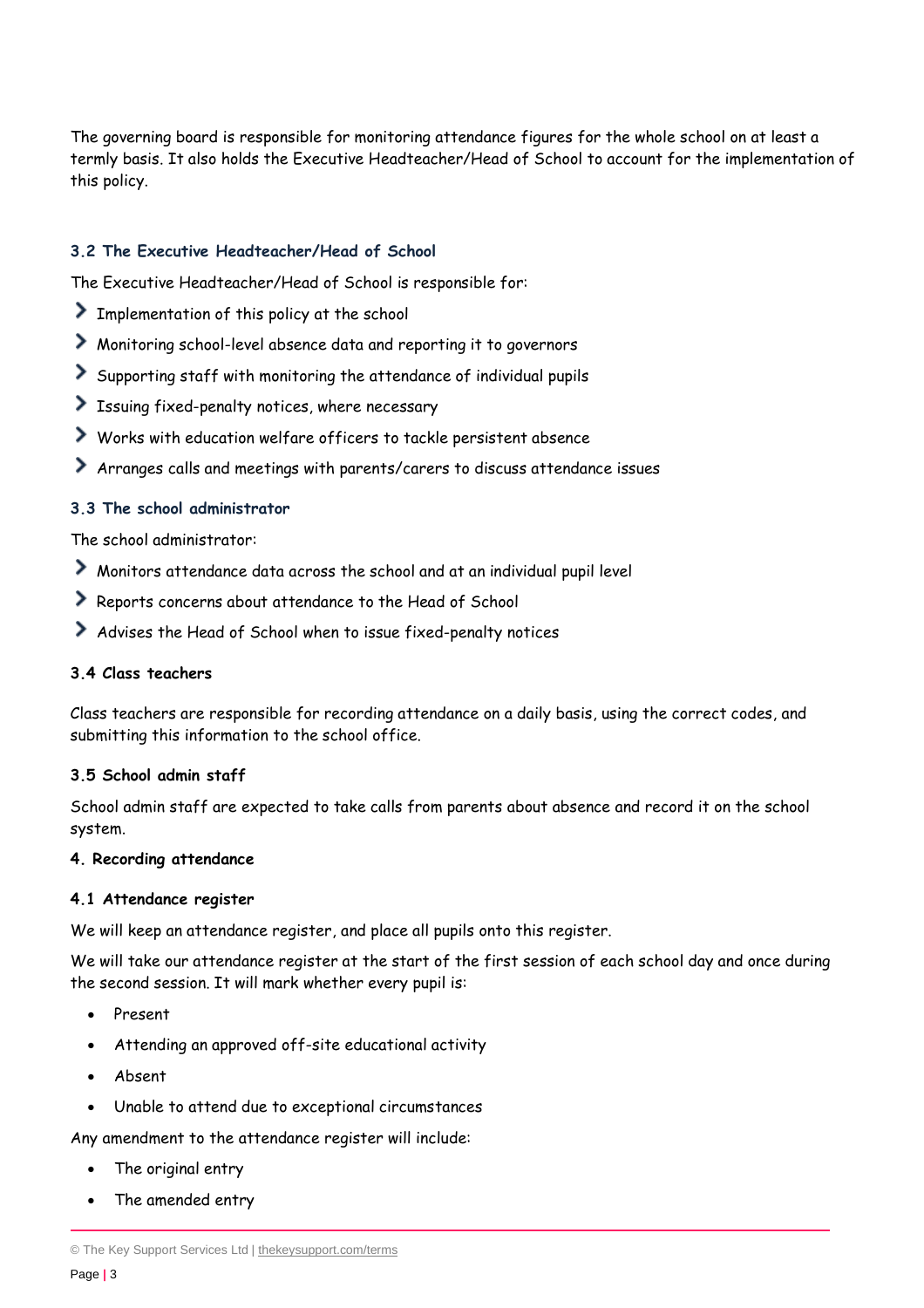The governing board is responsible for monitoring attendance figures for the whole school on at least a termly basis. It also holds the Executive Headteacher/Head of School to account for the implementation of this policy.

# **3.2 The Executive Headteacher/Head of School**

The Executive Headteacher/Head of School is responsible for:

- Implementation of this policy at the school
- Monitoring school-level absence data and reporting it to governors
- Supporting staff with monitoring the attendance of individual pupils
- Issuing fixed-penalty notices, where necessary
- Works with education welfare officers to tackle persistent absence
- Arranges calls and meetings with parents/carers to discuss attendance issues

#### **3.3 The school administrator**

The school administrator:

- Monitors attendance data across the school and at an individual pupil level
- Reports concerns about attendance to the Head of School
- Advises the Head of School when to issue fixed-penalty notices

# **3.4 Class teachers**

Class teachers are responsible for recording attendance on a daily basis, using the correct codes, and submitting this information to the school office.

#### **3.5 School admin staff**

School admin staff are expected to take calls from parents about absence and record it on the school system.

#### <span id="page-2-0"></span>**4. Recording attendance**

#### **4.1 Attendance register**

We will keep an attendance register, and place all pupils onto this register.

We will take our attendance register at the start of the first session of each school day and once during the second session. It will mark whether every pupil is:

- Present
- Attending an approved off-site educational activity
- Absent
- Unable to attend due to exceptional circumstances

Any amendment to the attendance register will include:

- The original entry
- The amended entry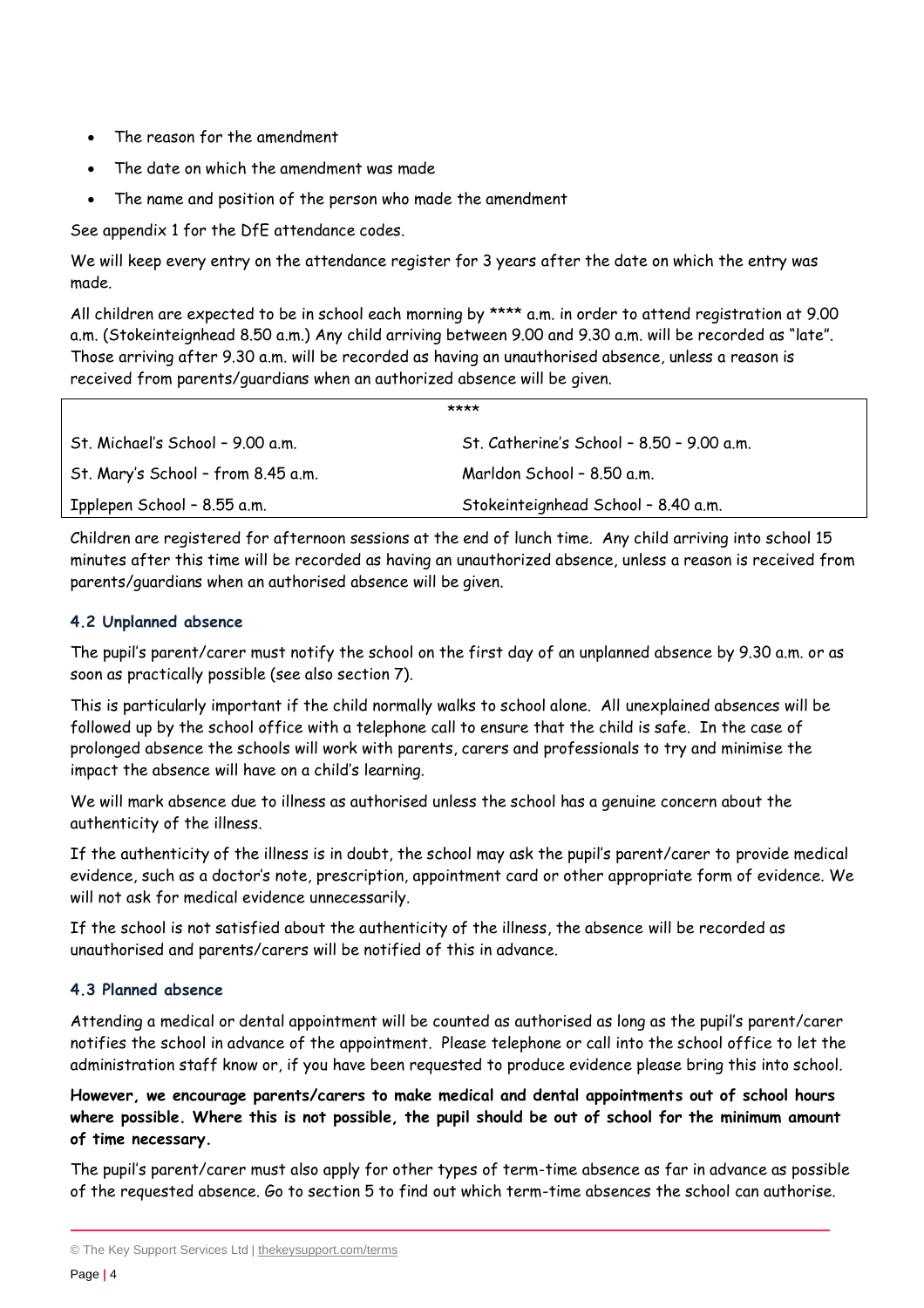- The reason for the amendment
- The date on which the amendment was made
- The name and position of the person who made the amendment

See appendix 1 for the DfE attendance codes.

We will keep every entry on the attendance register for 3 years after the date on which the entry was made.

All children are expected to be in school each morning by \*\*\*\* a.m. in order to attend registration at 9.00 a.m. (Stokeinteignhead 8.50 a.m.) Any child arriving between 9.00 and 9.30 a.m. will be recorded as "late". Those arriving after 9.30 a.m. will be recorded as having an unauthorised absence, unless a reason is received from parents/guardians when an authorized absence will be given.

|                                    | ****                                      |
|------------------------------------|-------------------------------------------|
| St. Michael's School - 9.00 a.m.   | St. Catherine's School - 8.50 - 9.00 a.m. |
| St. Mary's School - from 8.45 a.m. | Marldon School - 8.50 a.m.                |
| Ipplepen School - 8.55 a.m.        | Stokeinteignhead School - 8.40 a.m.       |

Children are registered for afternoon sessions at the end of lunch time. Any child arriving into school 15 minutes after this time will be recorded as having an unauthorized absence, unless a reason is received from parents/guardians when an authorised absence will be given.

## **4.2 Unplanned absence**

The pupil's parent/carer must notify the school on the first day of an unplanned absence by 9.30 a.m. or as soon as practically possible (see also section 7).

This is particularly important if the child normally walks to school alone. All unexplained absences will be followed up by the school office with a telephone call to ensure that the child is safe. In the case of prolonged absence the schools will work with parents, carers and professionals to try and minimise the impact the absence will have on a child's learning.

We will mark absence due to illness as authorised unless the school has a genuine concern about the authenticity of the illness.

If the authenticity of the illness is in doubt, the school may ask the pupil's parent/carer to provide medical evidence, such as a doctor's note, prescription, appointment card or other appropriate form of evidence. We will not ask for medical evidence unnecessarily.

If the school is not satisfied about the authenticity of the illness, the absence will be recorded as unauthorised and parents/carers will be notified of this in advance.

## **4.3 Planned absence**

Attending a medical or dental appointment will be counted as authorised as long as the pupil's parent/carer notifies the school in advance of the appointment. Please telephone or call into the school office to let the administration staff know or, if you have been requested to produce evidence please bring this into school.

**However, we encourage parents/carers to make medical and dental appointments out of school hours where possible. Where this is not possible, the pupil should be out of school for the minimum amount of time necessary.**

The pupil's parent/carer must also apply for other types of term-time absence as far in advance as possible of the requested absence. Go to section 5 to find out which term-time absences the school can authorise.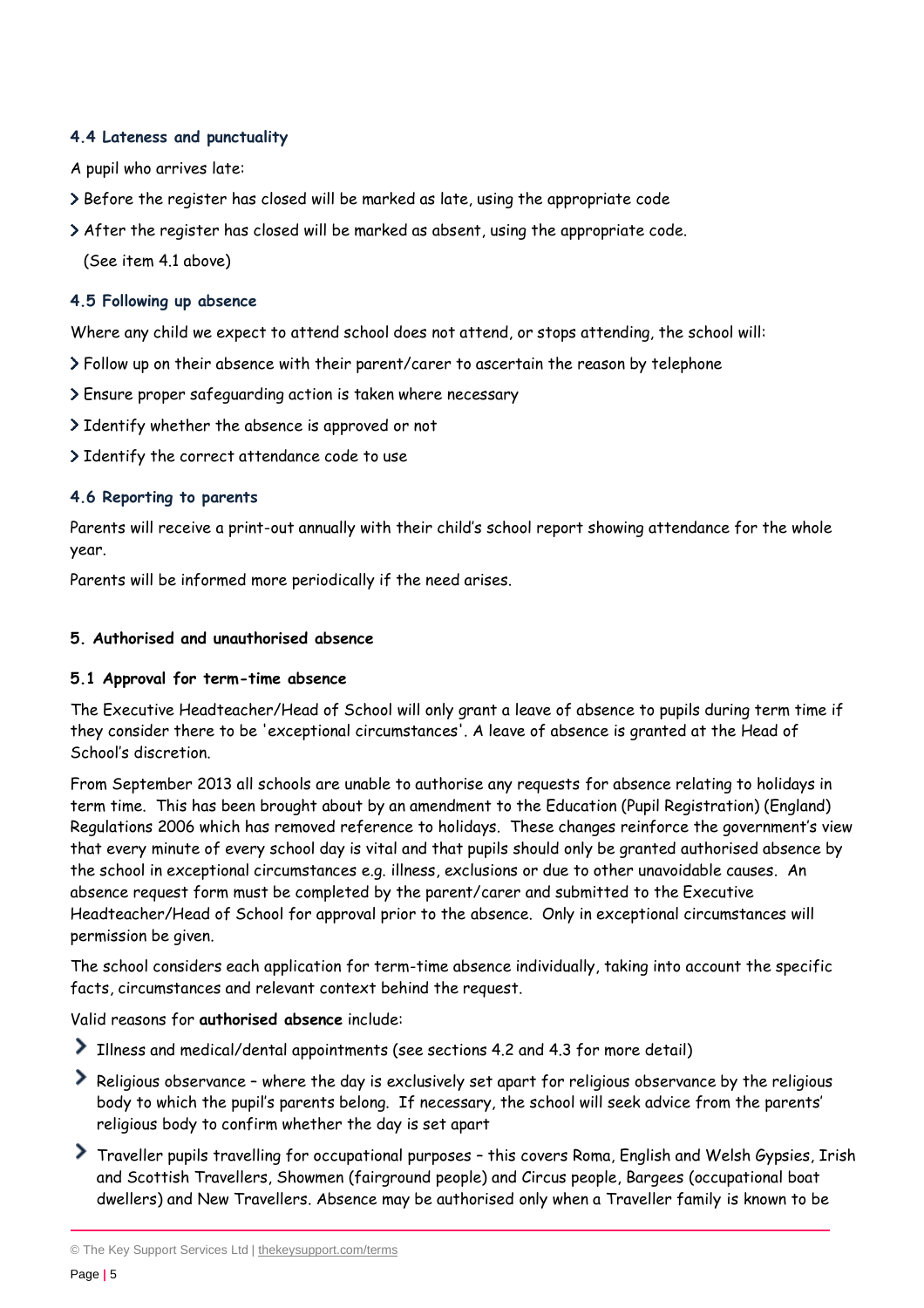# **4.4 Lateness and punctuality**

A pupil who arrives late:

- Before the register has closed will be marked as late, using the appropriate code
- After the register has closed will be marked as absent, using the appropriate code.

(See item 4.1 above)

# **4.5 Following up absence**

Where any child we expect to attend school does not attend, or stops attending, the school will:

- Follow up on their absence with their parent/carer to ascertain the reason by telephone
- Ensure proper safeguarding action is taken where necessary
- > Identify whether the absence is approved or not
- > Identify the correct attendance code to use

# **4.6 Reporting to parents**

Parents will receive a print-out annually with their child's school report showing attendance for the whole year.

Parents will be informed more periodically if the need arises.

# <span id="page-4-0"></span>**5. Authorised and unauthorised absence**

## **5.1 Approval for term-time absence**

The Executive Headteacher/Head of School will only grant a leave of absence to pupils during term time if they consider there to be 'exceptional circumstances'. A leave of absence is granted at the Head of School's discretion.

From September 2013 all schools are unable to authorise any requests for absence relating to holidays in term time. This has been brought about by an amendment to the Education (Pupil Registration) (England) Regulations 2006 which has removed reference to holidays. These changes reinforce the government's view that every minute of every school day is vital and that pupils should only be granted authorised absence by the school in exceptional circumstances e.g. illness, exclusions or due to other unavoidable causes. An absence request form must be completed by the parent/carer and submitted to the Executive Headteacher/Head of School for approval prior to the absence. Only in exceptional circumstances will permission be given.

The school considers each application for term-time absence individually, taking into account the specific facts, circumstances and relevant context behind the request.

Valid reasons for **authorised absence** include:

- Illness and medical/dental appointments (see sections 4.2 and 4.3 for more detail)
- Religious observance where the day is exclusively set apart for religious observance by the religious body to which the pupil's parents belong. If necessary, the school will seek advice from the parents' religious body to confirm whether the day is set apart
- Traveller pupils travelling for occupational purposes this covers Roma, English and Welsh Gypsies, Irish and Scottish Travellers, Showmen (fairground people) and Circus people, Bargees (occupational boat dwellers) and New Travellers. Absence may be authorised only when a Traveller family is known to be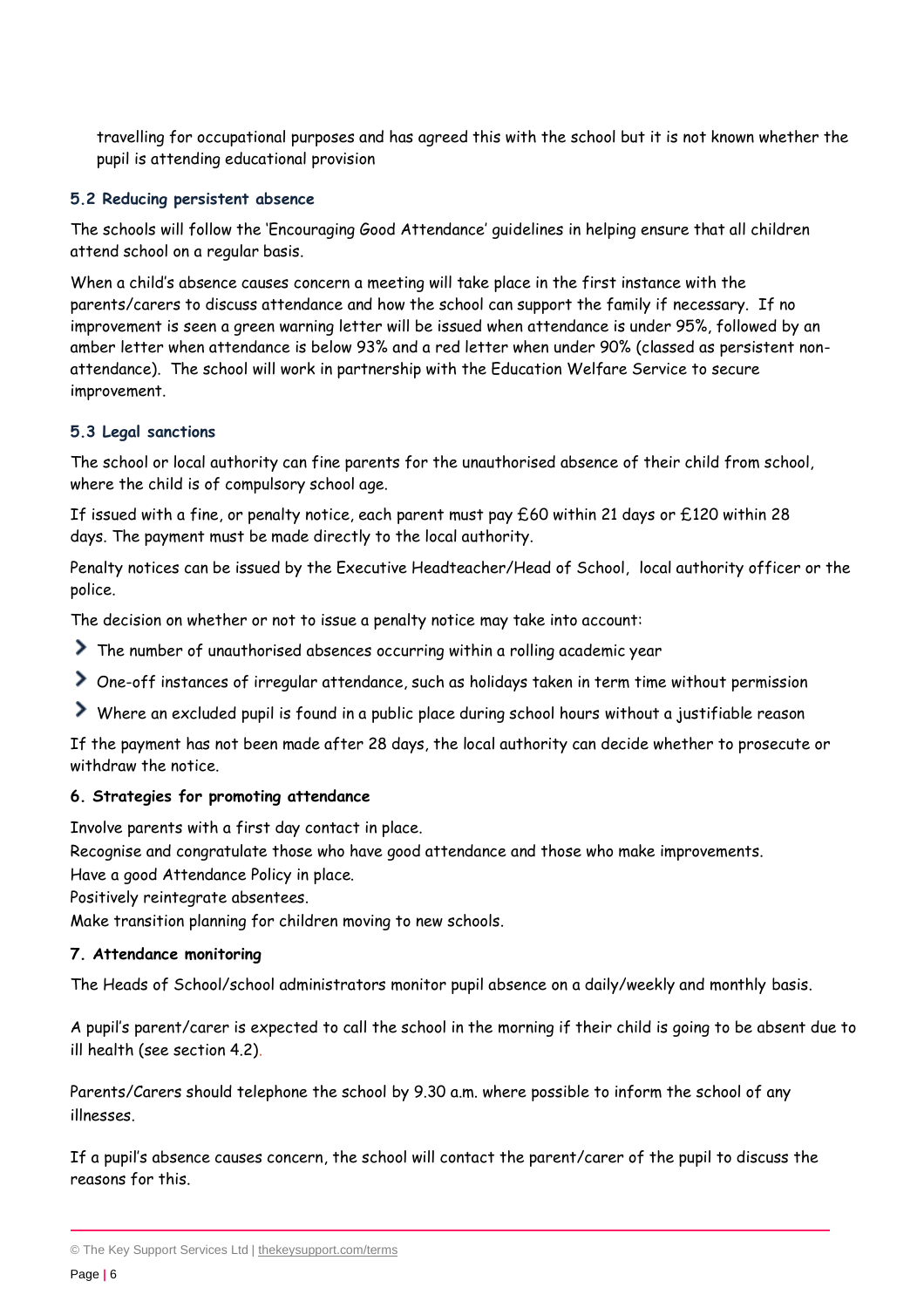travelling for occupational purposes and has agreed this with the school but it is not known whether the pupil is attending educational provision

#### **5.2 Reducing persistent absence**

The schools will follow the 'Encouraging Good Attendance' guidelines in helping ensure that all children attend school on a regular basis.

When a child's absence causes concern a meeting will take place in the first instance with the parents/carers to discuss attendance and how the school can support the family if necessary. If no improvement is seen a green warning letter will be issued when attendance is under 95%, followed by an amber letter when attendance is below 93% and a red letter when under 90% (classed as persistent nonattendance). The school will work in partnership with the Education Welfare Service to secure improvement.

#### **5.3 Legal sanctions**

The school or local authority can fine parents for the unauthorised absence of their child from school, where the child is of compulsory school age.

If issued with a fine, or penalty notice, each parent must pay £60 within 21 days or £120 within 28 days. The payment must be made directly to the local authority.

Penalty notices can be issued by the Executive Headteacher/Head of School, local authority officer or the police.

The decision on whether or not to issue a penalty notice may take into account:

- The number of unauthorised absences occurring within a rolling academic year
- One-off instances of irregular attendance, such as holidays taken in term time without permission
- Where an excluded pupil is found in a public place during school hours without a justifiable reason

If the payment has not been made after 28 days, the local authority can decide whether to prosecute or withdraw the notice.

#### <span id="page-5-0"></span>**6. Strategies for promoting attendance**

Involve parents with a first day contact in place.

Recognise and congratulate those who have good attendance and those who make improvements.

Have a good Attendance Policy in place.

Positively reintegrate absentees.

Make transition planning for children moving to new schools.

## <span id="page-5-1"></span>**7. Attendance monitoring**

The Heads of School/school administrators monitor pupil absence on a daily/weekly and monthly basis.

A pupil's parent/carer is expected to call the school in the morning if their child is going to be absent due to ill health (see section 4.2).

Parents/Carers should telephone the school by 9.30 a.m. where possible to inform the school of any illnesses.

If a pupil's absence causes concern, the school will contact the parent/carer of the pupil to discuss the reasons for this.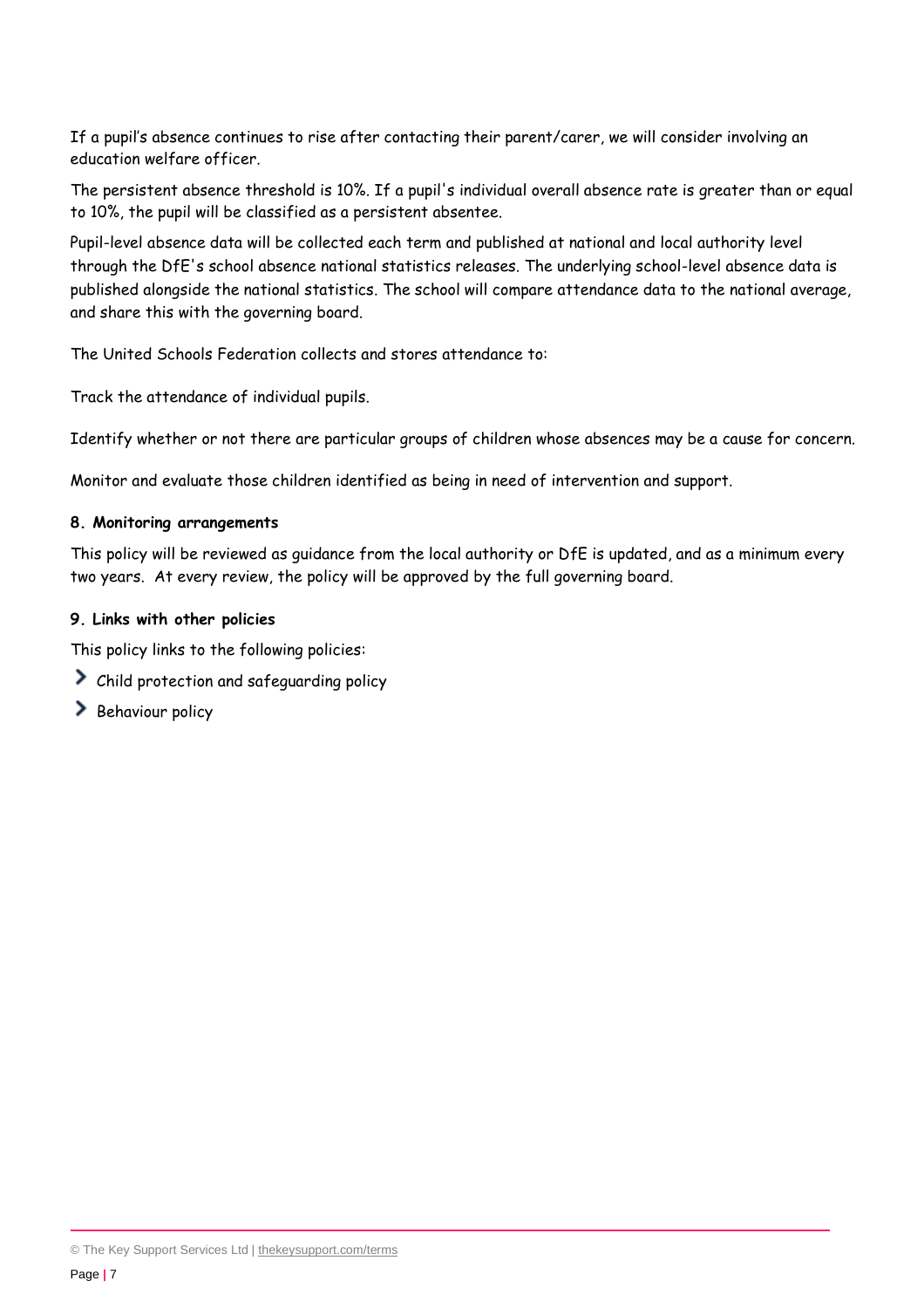If a pupil's absence continues to rise after contacting their parent/carer, we will consider involving an education welfare officer.

The persistent absence threshold is 10%. If a pupil's individual overall absence rate is greater than or equal to 10%, the pupil will be classified as a persistent absentee.

Pupil-level absence data will be collected each term and published at national and local authority level through the DfE's school absence national statistics releases. The underlying school-level absence data is published alongside the national statistics. The school will compare attendance data to the national average, and share this with the governing board.

The United Schools Federation collects and stores attendance to:

Track the attendance of individual pupils.

Identify whether or not there are particular groups of children whose absences may be a cause for concern.

Monitor and evaluate those children identified as being in need of intervention and support.

#### <span id="page-6-0"></span>**8. Monitoring arrangements**

This policy will be reviewed as guidance from the local authority or DfE is updated, and as a minimum every two years. At every review, the policy will be approved by the full governing board.

#### <span id="page-6-1"></span>**9. Links with other policies**

This policy links to the following policies:

- Child protection and safeguarding policy
- $\geq$  Behaviour policy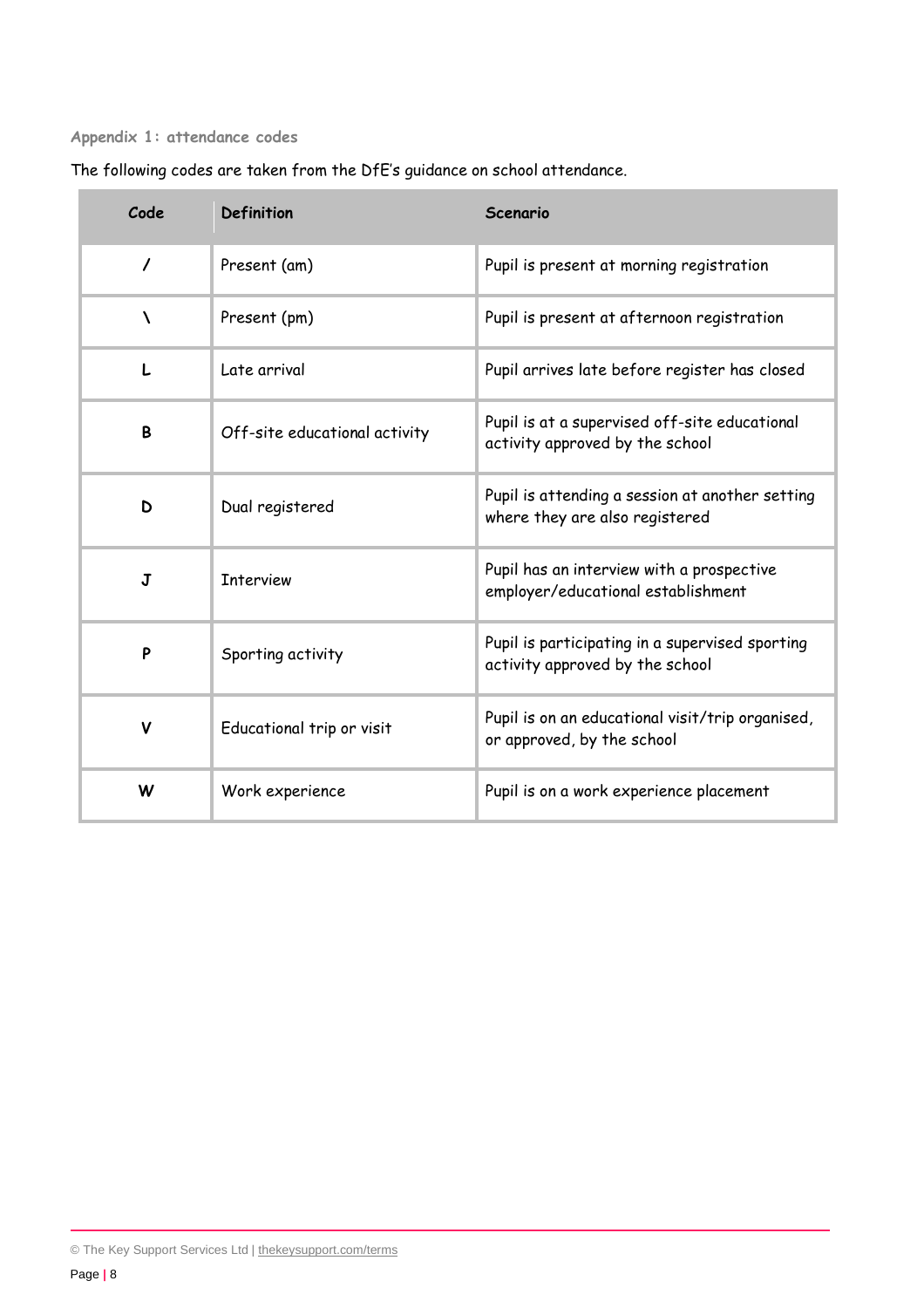#### <span id="page-7-0"></span>**Appendix 1: attendance codes**

| Code | Definition                    | Scenario                                                                                                      |
|------|-------------------------------|---------------------------------------------------------------------------------------------------------------|
|      | Present (am)                  | Pupil is present at morning registration                                                                      |
|      | Present (pm)                  | Pupil is present at afternoon registration                                                                    |
|      | Late arrival                  | Pupil arrives late before register has closed                                                                 |
| B    | Off-site educational activity | Pupil is at a supervised off-site educational<br>activity approved by the school                              |
| D    | Dual registered               | Pupil is attending a session at another setting<br>الرابع ويتعطف لاحتجاج والمستحدث والمتاري والمتناور والمنار |

**J** Interview **Pupil has an interview with a prospective** 

**P** Sporting activity **Pupil** is participating in a supervised sporting  $\blacksquare$ 

**V** Educational trip or visit Pupil is on an educational visit/trip organised,

**W** Work experience **Pupil is on a work experience placement** 

where they are also registered

activity approved by the school

or approved, by the school

employer/educational establishment

The following codes are taken from the DfE's guidance on school attendance.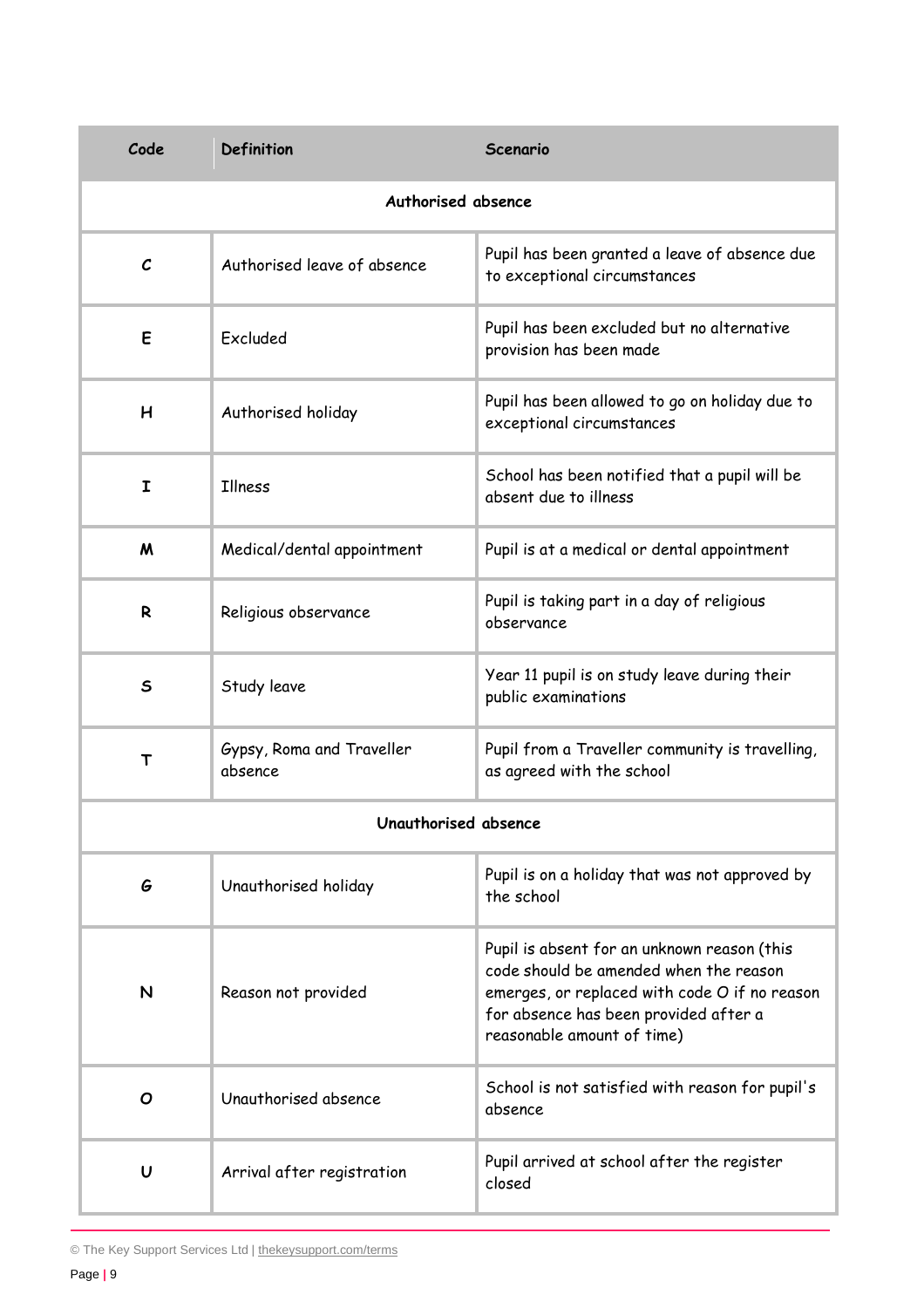| Code                 | Definition                           | Scenario                                                                                                                                                                                                      |  |  |
|----------------------|--------------------------------------|---------------------------------------------------------------------------------------------------------------------------------------------------------------------------------------------------------------|--|--|
| Authorised absence   |                                      |                                                                                                                                                                                                               |  |  |
| $\mathcal{C}$        | Authorised leave of absence          | Pupil has been granted a leave of absence due<br>to exceptional circumstances                                                                                                                                 |  |  |
| E                    | Excluded                             | Pupil has been excluded but no alternative<br>provision has been made                                                                                                                                         |  |  |
| H                    | Authorised holiday                   | Pupil has been allowed to go on holiday due to<br>exceptional circumstances                                                                                                                                   |  |  |
| I                    | Illness                              | School has been notified that a pupil will be<br>absent due to illness                                                                                                                                        |  |  |
| $\boldsymbol{M}$     | Medical/dental appointment           | Pupil is at a medical or dental appointment                                                                                                                                                                   |  |  |
| R                    | Religious observance                 | Pupil is taking part in a day of religious<br>observance                                                                                                                                                      |  |  |
| $\mathsf{s}$         | Study leave                          | Year 11 pupil is on study leave during their<br>public examinations                                                                                                                                           |  |  |
| T                    | Gypsy, Roma and Traveller<br>absence | Pupil from a Traveller community is travelling,<br>as agreed with the school                                                                                                                                  |  |  |
| Unguthorised absence |                                      |                                                                                                                                                                                                               |  |  |
| G                    | Unauthorised holiday                 | Pupil is on a holiday that was not approved by<br>the school                                                                                                                                                  |  |  |
| N                    | Reason not provided                  | Pupil is absent for an unknown reason (this<br>code should be amended when the reason<br>emerges, or replaced with code O if no reason<br>for absence has been provided after a<br>reasonable amount of time) |  |  |
| O                    | Unauthorised absence                 | School is not satisfied with reason for pupil's<br>absence                                                                                                                                                    |  |  |
| U                    | Arrival after registration           | Pupil arrived at school after the register<br>closed                                                                                                                                                          |  |  |

© The Key Support Services Ltd | [thekeysupport.com/terms](https://thekeysupport.com/terms-of-use)